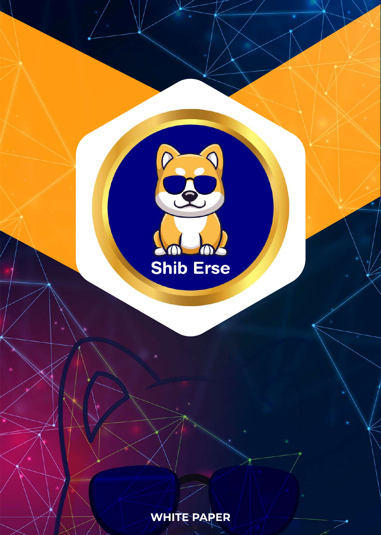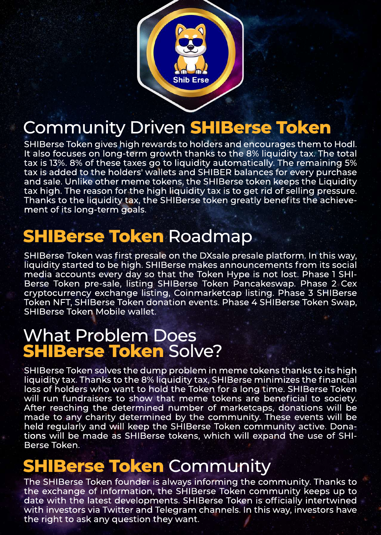

# Community Driven **SHIBerse Token**

SHIBerse Token gives high rewards to holders and encourages them to Hodl. It also focuses on long-term growth thanks to the 8% liquidity tax. The total tax is 13%. 8% of these taxes go to liquidity automatically. The remaining 5% tax is added to the holders' wallets and SHIBER balances for every purchase and sale. Unlike other meme tokens, the SHIBerse token keeps the Liquidity tax high. The reason for the high liquidity tax is to get rid of selling pressure. Thanks to the liquidity tax, the SHIBerse token greatly benefits the achievement of its long-term goals.

# **SHIBerse Token** Roadmap

SHIBerse Token was first presale on the DXsale presale platform. In this way, liquidity started to be high. SHIBerse makes announcements from its social media accounts every day so that the Token Hype is not lost. Phase 1 SHI-Berse Token pre-sale, listing SHIBerse Token Pancakeswap. Phase 2 Cex cryptocurrency exchange listing, Coinmarketcap listing. Phase 3 SHIBerse Token NFT, SHIBerse Token donation events. Phase 4 SHIBerse Token Swap, SHIBerse Token Mobile wallet.

#### What Problem Does **SHIBerse Token** Solve?

SHIBerse Token solves the dump problem in meme tokens thanks to its high liquidity tax. Thanks to the 8% liquidity tax, SHIBerse minimizes the financial loss of holders who want to hold the Token for a long time. SHIBerse Token will run fundraisers to show that meme tokens are beneficial to society. After reaching the determined number of marketcaps, donations will be made to any charity determined by the community. These events will be held regularly and will keep the SHIBerse Token community active. Donations will be made as SHIBerse tokens, which will expand the use of SHI-Berse Token.

## **SHIBerse Token** Community

The SHIBerse Token founder is always informing the community. Thanks to the exchange of information, the SHIBerse Token community keeps up to date with the latest developments. SHIBerse Token is officially intertwined with investors via Twitter and Telegram channels. In this way, investors have the right to ask any question they want.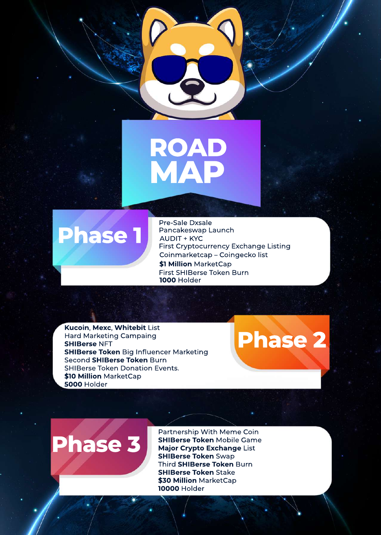



Pre-Sale Dxsale Pancakeswap Launch AUDIT + KYC First Cryptocurrency Exchange Listing Coinmarketcap – Coingecko list **\$1 Million** MarketCap First SHIBerse Token Burn **1000** Holder

**Kucoin**, **Mexc**, **Whitebit** List Hard Marketing Campaing **SHIBerse** NFT **SHIBerse Token** Big Influencer Marketing Second **SHIBerse Token** Burn SHIBerse Token Donation Events. **\$10 Million \$** MarketCap **5000** Holder

**Phase 2**

**Phase 3**

Partnership With Meme Coin **SHIBerse Token** Mobile Game **Major Crypto Exchange** List **SHIBerse Token** Swap Third **SHIBerse Token** Burn **SHIBerse Token** Stake **\$30 Million** MarketCap **10000** Holder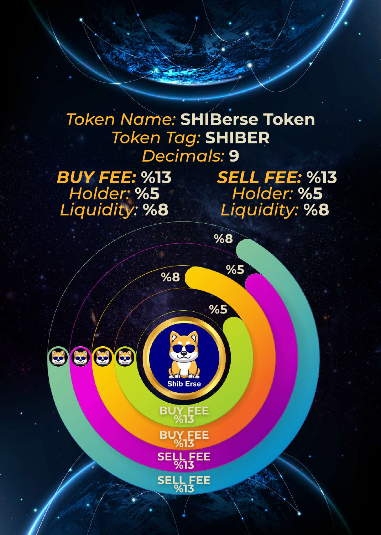### *Token Name:* **SHIBerse Token** *Token Tag:* **SHIBER** *Decimals:* **9**

**BUY FEE %13**

**Shib Erse** 

**%5**

**%8**

**%5 %8**

**BUY FEE %13**

**SELL FEE %13**

**SELL FEE %13**

*BUY FEE:* **%13** *Holder:* **%5** *Liquidity:* **%8**

0000

*SELL FEE:* **%13** *Holder:* **%5** *Liquidity:* **%8**